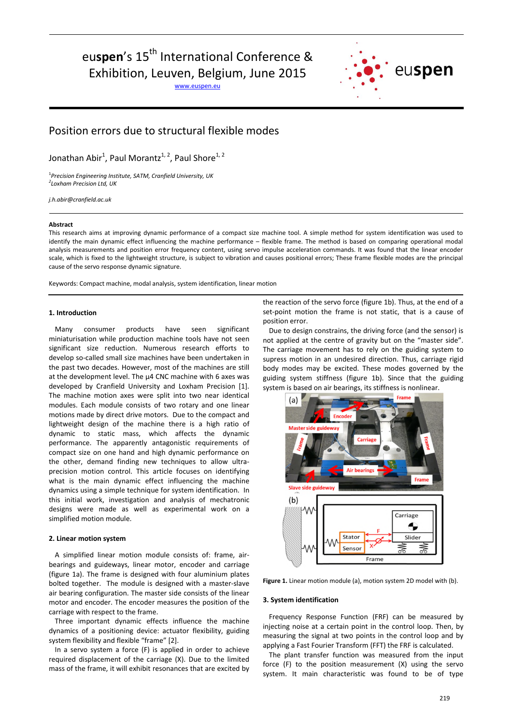# euspen's 15<sup>th</sup> International Conference &

Exhibition, Leuven, Belgium, June 2015

www.euspen.eu



## Position errors due to structural flexible modes

Jonathan Abir<sup>1</sup>, Paul Morantz<sup>1, 2</sup>, Paul Shore<sup>1, 2</sup>

1 *Precision Engineering Institute, SATM, Cranfield University, UK 2 Loxham Precision Ltd, UK*

*j.h.abir@cranfield.ac.uk*

### **Abstract**

This research aims at improving dynamic performance of a compact size machine tool. A simple method for system identification was used to identify the main dynamic effect influencing the machine performance – flexible frame. The method is based on comparing operational modal analysis measurements and position error frequency content, using servo impulse acceleration commands. It was found that the linear encoder scale, which is fixed to the lightweight structure, is subject to vibration and causes positional errors; These frame flexible modes are the principal cause of the servo response dynamic signature.

Keywords: Compact machine, modal analysis, system identification, linear motion

#### **1. Introduction**

Many consumer products have seen significant miniaturisation while production machine tools have not seen significant size reduction. Numerous research efforts to develop so-called small size machines have been undertaken in the past two decades. However, most of the machines are still at the development level. The µ4 CNC machine with 6 axes was developed by Cranfield University and Loxham Precision [1]. The machine motion axes were split into two near identical modules. Each module consists of two rotary and one linear motions made by direct drive motors. Due to the compact and lightweight design of the machine there is a high ratio of dynamic to static mass, which affects the dynamic performance. The apparently antagonistic requirements of compact size on one hand and high dynamic performance on the other, demand finding new techniques to allow ultraprecision motion control. This article focuses on identifying what is the main dynamic effect influencing the machine dynamics using a simple technique for system identification. In this initial work, investigation and analysis of mechatronic designs were made as well as experimental work on a simplified motion module.

#### **2. Linear motion system**

A simplified linear motion module consists of: frame, airbearings and guideways, linear motor, encoder and carriage (figure 1a). The frame is designed with four aluminium plates bolted together. The module is designed with a master-slave air bearing configuration. The master side consists of the linear motor and encoder. The encoder measures the position of the carriage with respect to the frame.

Three important dynamic effects influence the machine dynamics of a positioning device: actuator flexibility, guiding system flexibility and flexible "frame" [2].

In a servo system a force (F) is applied in order to achieve required displacement of the carriage (X). Due to the limited mass of the frame, it will exhibit resonances that are excited by the reaction of the servo force (figure 1b). Thus, at the end of a set-point motion the frame is not static, that is a cause of position error.

Due to design constrains, the driving force (and the sensor) is not applied at the centre of gravity but on the "master side". The carriage movement has to rely on the guiding system to supress motion in an undesired direction. Thus, carriage rigid body modes may be excited. These modes governed by the guiding system stiffness (figure 1b). Since that the guiding system is based on air bearings, its stiffness is nonlinear.



**Figure 1.** Linear motion module (a), motion system 2D model with (b).

#### **3. System identification**

Frequency Response Function (FRF) can be measured by injecting noise at a certain point in the control loop. Then, by measuring the signal at two points in the control loop and by applying a Fast Fourier Transform (FFT) the FRF is calculated.

The plant transfer function was measured from the input force (F) to the position measurement (X) using the servo system. It main characteristic was found to be of type